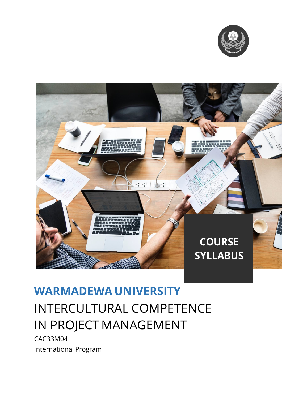



# **WARMADEWA UNIVERSITY** INTERCULTURAL COMPETENCE IN PROJECT MANAGEMENT

CAC33M04 International Program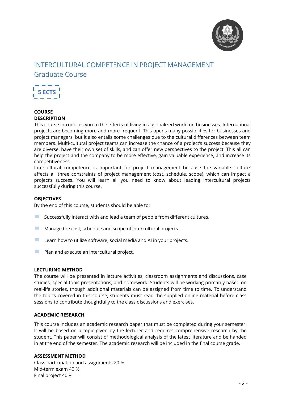

# INTERCULTURAL COMPETENCE IN PROJECT MANAGEMENT Graduate Course



# **COURSE DESCRIPTION**

This course introduces you to the effects of living in a globalized world on businesses. International projects are becoming more and more frequent. This opens many possibilities for businesses and project managers, but it also entails some challenges due to the cultural differences between team members. Multi-cultural project teams can increase the chance of a project's success because they are diverse, have their own set of skills, and can offer new perspectives to the project. This all can help the project and the company to be more effective, gain valuable experience, and increase its competitiveness.

Intercultural competence is important for project management because the variable 'culture' affects all three constraints of project management (cost, schedule, scope), which can impact a project's success. You will learn all you need to know about leading intercultural projects successfully during this course.

## **OBJECTIVES**

By the end of this course, students should be able to:

- $\blacksquare$  Successfully interact with and lead a team of people from different cultures.
- Manage the cost, schedule and scope of intercultural projects.
- $\blacksquare$  Learn how to utilize software, social media and AI in your projects.
- $\blacksquare$  Plan and execute an intercultural project.

#### **LECTURING METHOD**

The course will be presented in lecture activities, classroom assignments and discussions, case studies, special topic presentations, and homework. Students will be working primarily based on real-life stories, though additional materials can be assigned from time to time. To understand the topics covered in this course, students must read the supplied online material before class sessions to contribute thoughtfully to the class discussions and exercises.

#### **ACADEMIC RESEARCH**

This course includes an academic research paper that must be completed during your semester. It will be based on a topic given by the lecturer and requires comprehensive research by the student. This paper will consist of methodological analysis of the latest literature and be handed in at the end of the semester. The academic research will be included in the final course grade.

#### **ASSESSMENT METHOD**

Class participation and assignments 20 % Mid-term exam 40 % Final project 40 %